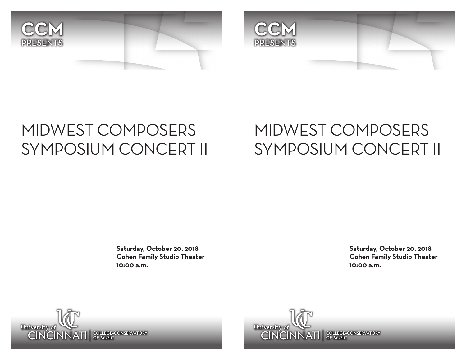



## MIDWEST COMPOSERS SYMPOSIUM CONCERT II

## MIDWEST COMPOSERS SYMPOSIUM CONCERT II

**Saturday, October 20, 2018 Cohen Family Studio Theater 10:00 a.m.**

**Saturday, October 20, 2018 Cohen Family Studio Theater 10:00 a.m.**